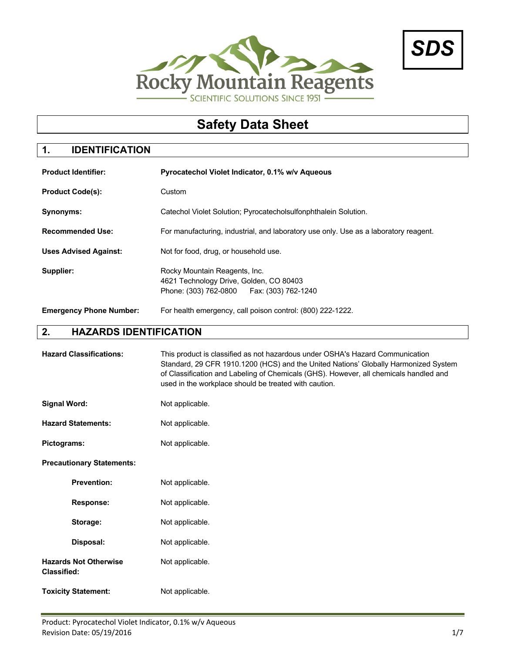



# **Safety Data Sheet**

# **1. IDENTIFICATION**

| <b>Product Identifier:</b>     | Pyrocatechol Violet Indicator, 0.1% w/v Aqueous                                                                         |
|--------------------------------|-------------------------------------------------------------------------------------------------------------------------|
| <b>Product Code(s):</b>        | Custom                                                                                                                  |
| Synonyms:                      | Catechol Violet Solution; Pyrocatecholsulfonphthalein Solution.                                                         |
| <b>Recommended Use:</b>        | For manufacturing, industrial, and laboratory use only. Use as a laboratory reagent.                                    |
| <b>Uses Advised Against:</b>   | Not for food, drug, or household use.                                                                                   |
| Supplier:                      | Rocky Mountain Reagents, Inc.<br>4621 Technology Drive, Golden, CO 80403<br>Phone: (303) 762-0800   Fax: (303) 762-1240 |
| <b>Emergency Phone Number:</b> | For health emergency, call poison control: (800) 222-1222.                                                              |

#### **2. HAZARDS IDENTIFICATION**

| <b>Hazard Classifications:</b>                     | This product is classified as not hazardous under OSHA's Hazard Communication<br>Standard, 29 CFR 1910.1200 (HCS) and the United Nations' Globally Harmonized System<br>of Classification and Labeling of Chemicals (GHS). However, all chemicals handled and<br>used in the workplace should be treated with caution. |
|----------------------------------------------------|------------------------------------------------------------------------------------------------------------------------------------------------------------------------------------------------------------------------------------------------------------------------------------------------------------------------|
| <b>Signal Word:</b>                                | Not applicable.                                                                                                                                                                                                                                                                                                        |
| <b>Hazard Statements:</b>                          | Not applicable.                                                                                                                                                                                                                                                                                                        |
| Pictograms:                                        | Not applicable.                                                                                                                                                                                                                                                                                                        |
| <b>Precautionary Statements:</b>                   |                                                                                                                                                                                                                                                                                                                        |
| <b>Prevention:</b>                                 | Not applicable.                                                                                                                                                                                                                                                                                                        |
| <b>Response:</b>                                   | Not applicable.                                                                                                                                                                                                                                                                                                        |
| Storage:                                           | Not applicable.                                                                                                                                                                                                                                                                                                        |
| Disposal:                                          | Not applicable.                                                                                                                                                                                                                                                                                                        |
| <b>Hazards Not Otherwise</b><br><b>Classified:</b> | Not applicable.                                                                                                                                                                                                                                                                                                        |
| <b>Toxicity Statement:</b>                         | Not applicable.                                                                                                                                                                                                                                                                                                        |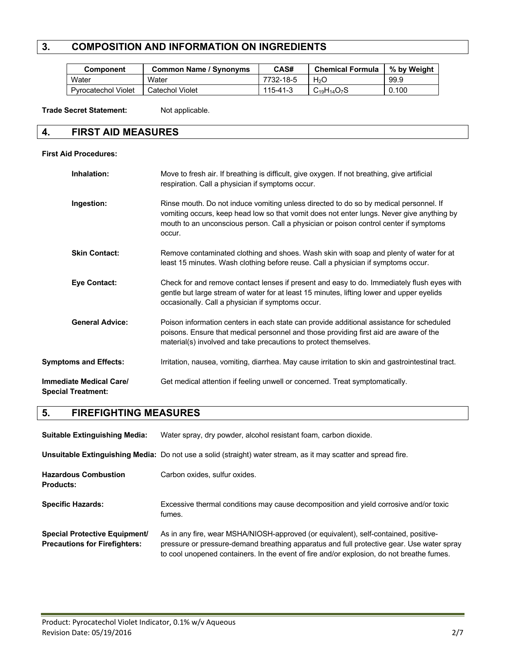# **3. COMPOSITION AND INFORMATION ON INGREDIENTS**

| Component                  | <b>Common Name / Synonyms</b> | CAS#      | <b>Chemical Formula</b> | % by Weight |
|----------------------------|-------------------------------|-----------|-------------------------|-------------|
| Water                      | Water                         | 7732-18-5 | H <sub>2</sub> O        | 99.9        |
| <b>Pyrocatechol Violet</b> | Catechol Violet               | 115-41-3  | $C_{19}H_{14}O_7S$      | 0.100       |

Trade Secret Statement: Not applicable.

#### **4. FIRST AID MEASURES**

#### **First Aid Procedures:**

| Inhalation:                                                 | Move to fresh air. If breathing is difficult, give oxygen. If not breathing, give artificial<br>respiration. Call a physician if symptoms occur.                                                                                                                                      |
|-------------------------------------------------------------|---------------------------------------------------------------------------------------------------------------------------------------------------------------------------------------------------------------------------------------------------------------------------------------|
| Ingestion:                                                  | Rinse mouth. Do not induce vomiting unless directed to do so by medical personnel. If<br>vomiting occurs, keep head low so that vomit does not enter lungs. Never give anything by<br>mouth to an unconscious person. Call a physician or poison control center if symptoms<br>occur. |
| <b>Skin Contact:</b>                                        | Remove contaminated clothing and shoes. Wash skin with soap and plenty of water for at<br>least 15 minutes. Wash clothing before reuse. Call a physician if symptoms occur.                                                                                                           |
| <b>Eye Contact:</b>                                         | Check for and remove contact lenses if present and easy to do. Immediately flush eyes with<br>gentle but large stream of water for at least 15 minutes, lifting lower and upper eyelids<br>occasionally. Call a physician if symptoms occur.                                          |
| <b>General Advice:</b>                                      | Poison information centers in each state can provide additional assistance for scheduled<br>poisons. Ensure that medical personnel and those providing first aid are aware of the<br>material(s) involved and take precautions to protect themselves.                                 |
| <b>Symptoms and Effects:</b>                                | Irritation, nausea, vomiting, diarrhea. May cause irritation to skin and gastrointestinal tract.                                                                                                                                                                                      |
| <b>Immediate Medical Care/</b><br><b>Special Treatment:</b> | Get medical attention if feeling unwell or concerned. Treat symptomatically.                                                                                                                                                                                                          |

#### **5. FIREFIGHTING MEASURES**

| <b>Suitable Extinguishing Media:</b>                                         | Water spray, dry powder, alcohol resistant foam, carbon dioxide.                                                                                                                                                                                                              |
|------------------------------------------------------------------------------|-------------------------------------------------------------------------------------------------------------------------------------------------------------------------------------------------------------------------------------------------------------------------------|
|                                                                              | Unsuitable Extinguishing Media: Do not use a solid (straight) water stream, as it may scatter and spread fire.                                                                                                                                                                |
| <b>Hazardous Combustion</b><br><b>Products:</b>                              | Carbon oxides, sulfur oxides.                                                                                                                                                                                                                                                 |
| <b>Specific Hazards:</b>                                                     | Excessive thermal conditions may cause decomposition and yield corrosive and/or toxic<br>fumes.                                                                                                                                                                               |
| <b>Special Protective Equipment/</b><br><b>Precautions for Firefighters:</b> | As in any fire, wear MSHA/NIOSH-approved (or equivalent), self-contained, positive-<br>pressure or pressure-demand breathing apparatus and full protective gear. Use water spray<br>to cool unopened containers. In the event of fire and/or explosion, do not breathe fumes. |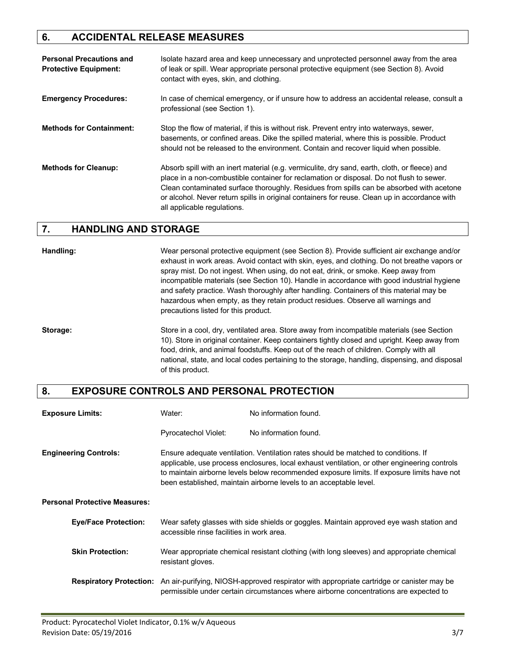## **6. ACCIDENTAL RELEASE MEASURES**

| <b>Personal Precautions and</b><br><b>Protective Equipment:</b> | Isolate hazard area and keep unnecessary and unprotected personnel away from the area<br>of leak or spill. Wear appropriate personal protective equipment (see Section 8). Avoid<br>contact with eyes, skin, and clothing.                                                                                                                                                                                            |
|-----------------------------------------------------------------|-----------------------------------------------------------------------------------------------------------------------------------------------------------------------------------------------------------------------------------------------------------------------------------------------------------------------------------------------------------------------------------------------------------------------|
| <b>Emergency Procedures:</b>                                    | In case of chemical emergency, or if unsure how to address an accidental release, consult a<br>professional (see Section 1).                                                                                                                                                                                                                                                                                          |
| <b>Methods for Containment:</b>                                 | Stop the flow of material, if this is without risk. Prevent entry into waterways, sewer,<br>basements, or confined areas. Dike the spilled material, where this is possible. Product<br>should not be released to the environment. Contain and recover liquid when possible.                                                                                                                                          |
| <b>Methods for Cleanup:</b>                                     | Absorb spill with an inert material (e.g. vermiculite, dry sand, earth, cloth, or fleece) and<br>place in a non-combustible container for reclamation or disposal. Do not flush to sewer.<br>Clean contaminated surface thoroughly. Residues from spills can be absorbed with acetone<br>or alcohol. Never return spills in original containers for reuse. Clean up in accordance with<br>all applicable regulations. |

#### **7. HANDLING AND STORAGE**

**Handling:** Wear personal protective equipment (see Section 8). Provide sufficient air exchange and/or exhaust in work areas. Avoid contact with skin, eyes, and clothing. Do not breathe vapors or spray mist. Do not ingest. When using, do not eat, drink, or smoke. Keep away from incompatible materials (see Section 10). Handle in accordance with good industrial hygiene and safety practice. Wash thoroughly after handling. Containers of this material may be hazardous when empty, as they retain product residues. Observe all warnings and precautions listed for this product.

**Storage:** Store in a cool, dry, ventilated area. Store away from incompatible materials (see Section 10). Store in original container. Keep containers tightly closed and upright. Keep away from food, drink, and animal foodstuffs. Keep out of the reach of children. Comply with all national, state, and local codes pertaining to the storage, handling, dispensing, and disposal of this product.

### **8. EXPOSURE CONTROLS AND PERSONAL PROTECTION**

| <b>Exposure Limits:</b>              | Water:                                    | No information found.                                                                                                                                                                                                                                                                                                                                  |
|--------------------------------------|-------------------------------------------|--------------------------------------------------------------------------------------------------------------------------------------------------------------------------------------------------------------------------------------------------------------------------------------------------------------------------------------------------------|
|                                      | Pyrocatechol Violet:                      | No information found.                                                                                                                                                                                                                                                                                                                                  |
| <b>Engineering Controls:</b>         |                                           | Ensure adequate ventilation. Ventilation rates should be matched to conditions. If<br>applicable, use process enclosures, local exhaust ventilation, or other engineering controls<br>to maintain airborne levels below recommended exposure limits. If exposure limits have not<br>been established, maintain airborne levels to an acceptable level. |
| <b>Personal Protective Measures:</b> |                                           |                                                                                                                                                                                                                                                                                                                                                        |
| <b>Eye/Face Protection:</b>          | accessible rinse facilities in work area. | Wear safety glasses with side shields or goggles. Maintain approved eye wash station and                                                                                                                                                                                                                                                               |
| <b>Skin Protection:</b>              | resistant gloves.                         | Wear appropriate chemical resistant clothing (with long sleeves) and appropriate chemical                                                                                                                                                                                                                                                              |
|                                      |                                           | <b>Respiratory Protection:</b> An air-purifying, NIOSH-approved respirator with appropriate cartridge or canister may be<br>permissible under certain circumstances where airborne concentrations are expected to                                                                                                                                      |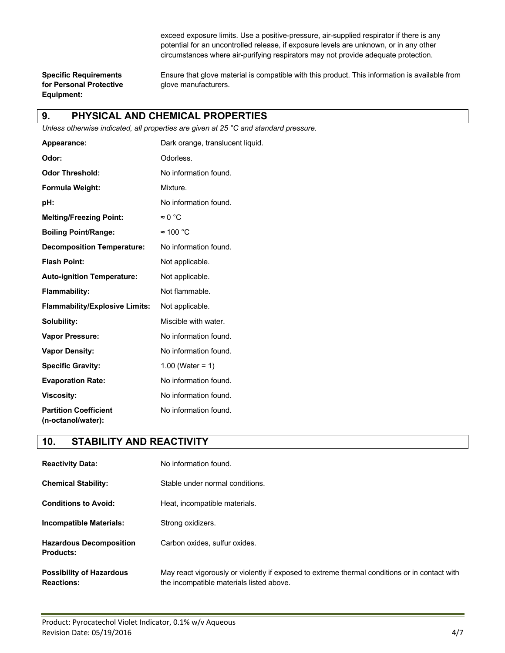exceed exposure limits. Use a positive-pressure, air-supplied respirator if there is any potential for an uncontrolled release, if exposure levels are unknown, or in any other circumstances where air-purifying respirators may not provide adequate protection.

**for Personal Protective glove manufacturers. Equipment:**

**Specific Requirements** Ensure that glove material is compatible with this product. This information is available from

#### **9. PHYSICAL AND CHEMICAL PROPERTIES**

*Unless otherwise indicated, all properties are given at 25 °C and standard pressure.*

| Appearance:                                        | Dark orange, translucent liquid. |
|----------------------------------------------------|----------------------------------|
| Odor:                                              | Odorless.                        |
| <b>Odor Threshold:</b>                             | No information found.            |
| Formula Weight:                                    | Mixture.                         |
| pH:                                                | No information found.            |
| <b>Melting/Freezing Point:</b>                     | $\approx 0$ °C                   |
| <b>Boiling Point/Range:</b>                        | $\approx$ 100 °C                 |
| <b>Decomposition Temperature:</b>                  | No information found.            |
| <b>Flash Point:</b>                                | Not applicable.                  |
| <b>Auto-ignition Temperature:</b>                  | Not applicable.                  |
| <b>Flammability:</b>                               | Not flammable.                   |
| <b>Flammability/Explosive Limits:</b>              | Not applicable.                  |
| Solubility:                                        | Miscible with water.             |
| <b>Vapor Pressure:</b>                             | No information found.            |
| <b>Vapor Density:</b>                              | No information found.            |
| <b>Specific Gravity:</b>                           | 1.00 (Water = $1)$               |
| <b>Evaporation Rate:</b>                           | No information found.            |
| <b>Viscosity:</b>                                  | No information found.            |
| <b>Partition Coefficient</b><br>(n-octanol/water): | No information found.            |

#### **10. STABILITY AND REACTIVITY**

| <b>Reactivity Data:</b>                     | No information found.             |
|---------------------------------------------|-----------------------------------|
| <b>Chemical Stability:</b>                  | Stable under normal conditions.   |
| <b>Conditions to Avoid:</b>                 | Heat, incompatible materials.     |
| Incompatible Materials:                     | Strong oxidizers.                 |
| <b>Hazardous Decomposition</b><br>Products: | Carbon oxides, sulfur oxides.     |
| <b>Possibility of Hazardous</b>             | May react vigorously or violently |

**Postibility of exposed to extreme thermal conditions or in contact with Reactions:** The incompatible materials listed above.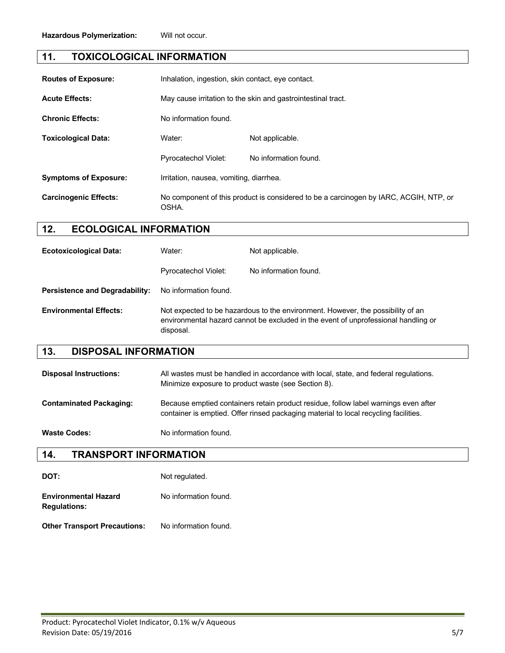#### **11. TOXICOLOGICAL INFORMATION**

| <b>Routes of Exposure:</b>   | Inhalation, ingestion, skin contact, eye contact.                                              |                       |
|------------------------------|------------------------------------------------------------------------------------------------|-----------------------|
| <b>Acute Effects:</b>        | May cause irritation to the skin and gastrointestinal tract.                                   |                       |
| <b>Chronic Effects:</b>      | No information found.                                                                          |                       |
| <b>Toxicological Data:</b>   | Water:                                                                                         | Not applicable.       |
|                              | <b>Pyrocatechol Violet:</b>                                                                    | No information found. |
| <b>Symptoms of Exposure:</b> | Irritation, nausea, vomiting, diarrhea.                                                        |                       |
| <b>Carcinogenic Effects:</b> | No component of this product is considered to be a carcinogen by IARC, ACGIH, NTP, or<br>OSHA. |                       |

#### **12. ECOLOGICAL INFORMATION**

| <b>Ecotoxicological Data:</b>         | Water:                      | Not applicable.                                                                                                                                                       |
|---------------------------------------|-----------------------------|-----------------------------------------------------------------------------------------------------------------------------------------------------------------------|
|                                       | <b>Pyrocatechol Violet:</b> | No information found.                                                                                                                                                 |
| <b>Persistence and Degradability:</b> | No information found.       |                                                                                                                                                                       |
| <b>Environmental Effects:</b>         | disposal.                   | Not expected to be hazardous to the environment. However, the possibility of an<br>environmental hazard cannot be excluded in the event of unprofessional handling or |

#### **13. DISPOSAL INFORMATION**

| <b>Disposal Instructions:</b>  | All wastes must be handled in accordance with local, state, and federal regulations.<br>Minimize exposure to product waste (see Section 8).                                 |
|--------------------------------|-----------------------------------------------------------------------------------------------------------------------------------------------------------------------------|
| <b>Contaminated Packaging:</b> | Because emptied containers retain product residue, follow label warnings even after<br>container is emptied. Offer rinsed packaging material to local recycling facilities. |
| <b>Waste Codes:</b>            | No information found.                                                                                                                                                       |

#### **14. TRANSPORT INFORMATION**

| DOT:                                               | Not regulated.        |
|----------------------------------------------------|-----------------------|
| <b>Environmental Hazard</b><br><b>Regulations:</b> | No information found. |
| <b>Other Transport Precautions:</b>                | No information found. |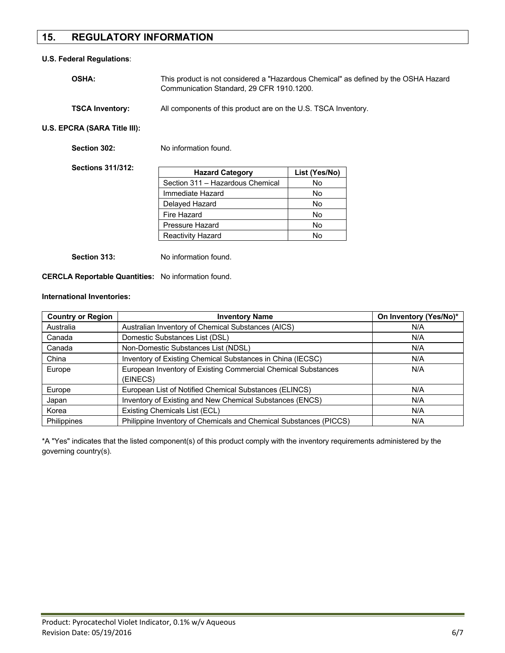## **15. REGULATORY INFORMATION**

#### **U.S. Federal Regulations**:

| <b>OSHA:</b>           | This product is not considered a "Hazardous Chemical" as defined by the OSHA Hazard<br>Communication Standard, 29 CFR 1910.1200. |  |
|------------------------|----------------------------------------------------------------------------------------------------------------------------------|--|
| <b>TSCA Inventory:</b> | All components of this product are on the U.S. TSCA Inventory.                                                                   |  |

**U.S. EPCRA (SARA Title III):**

| Section 302:             | No information found.            |               |
|--------------------------|----------------------------------|---------------|
| <b>Sections 311/312:</b> | <b>Hazard Category</b>           | List (Yes/No) |
|                          | Section 311 - Hazardous Chemical | No            |
|                          | Immediate Hazard                 | No.           |
|                          | Delayed Hazard                   | No            |
|                          | Fire Hazard                      | No.           |
|                          | Pressure Hazard                  | No            |
|                          | <b>Reactivity Hazard</b>         | No            |
|                          |                                  |               |

**Section 313:** No information found.

**CERCLA Reportable Quantities:** No information found.

#### **International Inventories:**

| <b>Country or Region</b> | <b>Inventory Name</b>                                             | On Inventory (Yes/No)* |
|--------------------------|-------------------------------------------------------------------|------------------------|
| Australia                | Australian Inventory of Chemical Substances (AICS)                | N/A                    |
| Canada                   | Domestic Substances List (DSL)                                    | N/A                    |
| Canada                   | Non-Domestic Substances List (NDSL)                               | N/A                    |
| China                    | Inventory of Existing Chemical Substances in China (IECSC)        | N/A                    |
| Europe                   | European Inventory of Existing Commercial Chemical Substances     | N/A                    |
|                          | (EINECS)                                                          |                        |
| Europe                   | European List of Notified Chemical Substances (ELINCS)            | N/A                    |
| Japan                    | Inventory of Existing and New Chemical Substances (ENCS)          | N/A                    |
| Korea                    | Existing Chemicals List (ECL)                                     | N/A                    |
| <b>Philippines</b>       | Philippine Inventory of Chemicals and Chemical Substances (PICCS) | N/A                    |

\*A "Yes" indicates that the listed component(s) of this product comply with the inventory requirements administered by the governing country(s).